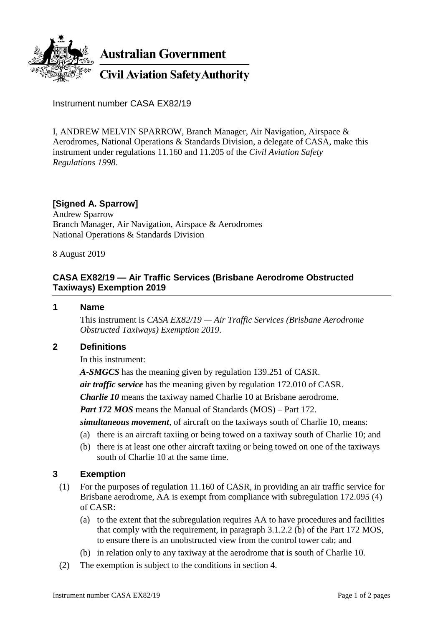

Instrument number CASA EX82/19

I, ANDREW MELVIN SPARROW, Branch Manager, Air Navigation, Airspace & Aerodromes, National Operations & Standards Division, a delegate of CASA, make this instrument under regulations 11.160 and 11.205 of the *Civil Aviation Safety Regulations 1998*.

## **[Signed A. Sparrow]**

Andrew Sparrow Branch Manager, Air Navigation, Airspace & Aerodromes National Operations & Standards Division

8 August 2019

# **CASA EX82/19 — Air Traffic Services (Brisbane Aerodrome Obstructed Taxiways) Exemption 2019**

#### **1 Name**

This instrument is *CASA EX82/19 — Air Traffic Services (Brisbane Aerodrome Obstructed Taxiways) Exemption 2019*.

### **2 Definitions**

In this instrument:

*A-SMGCS* has the meaning given by regulation 139.251 of CASR.

*air traffic service* has the meaning given by regulation 172.010 of CASR.

*Charlie 10* means the taxiway named Charlie 10 at Brisbane aerodrome.

*Part 172 MOS* means the Manual of Standards (MOS) – Part 172.

*simultaneous movement*, of aircraft on the taxiways south of Charlie 10, means:

- (a) there is an aircraft taxiing or being towed on a taxiway south of Charlie 10; and
- (b) there is at least one other aircraft taxiing or being towed on one of the taxiways south of Charlie 10 at the same time.

### **3 Exemption**

- (1) For the purposes of regulation 11.160 of CASR, in providing an air traffic service for Brisbane aerodrome, AA is exempt from compliance with subregulation 172.095 (4) of CASR:
	- (a) to the extent that the subregulation requires AA to have procedures and facilities that comply with the requirement, in paragraph 3.1.2.2 (b) of the Part 172 MOS, to ensure there is an unobstructed view from the control tower cab; and
	- (b) in relation only to any taxiway at the aerodrome that is south of Charlie 10.
- (2) The exemption is subject to the conditions in section 4.